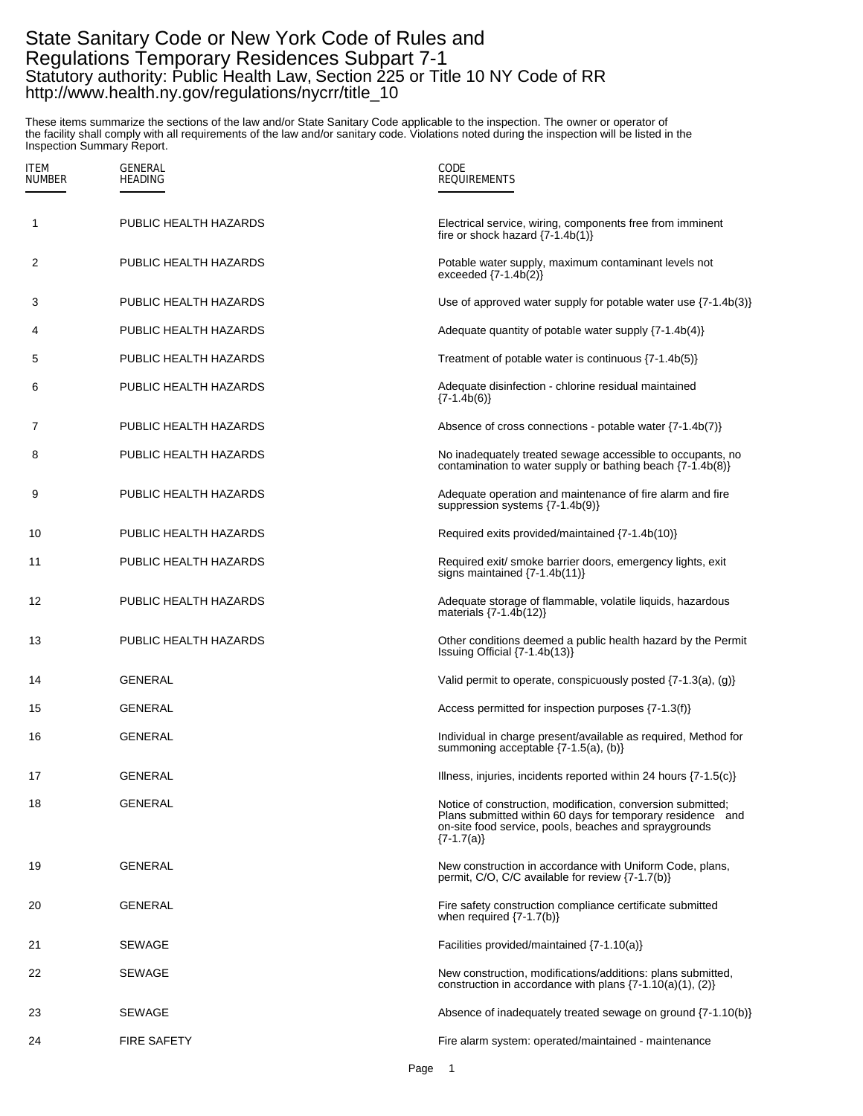## State Sanitary Code or New York Code of Rules and Regulations Temporary Residences Subpart 7-1 Statutory authority: Public Health Law, Section 225 or Title 10 NY Code of RR http://www.health.ny.gov/regulations/nycrr/title\_10

These items summarize the sections of the law and/or State Sanitary Code applicable to the inspection. The owner or operator of the facility shall comply with all requirements of the law and/or sanitary code. Violations noted during the inspection will be listed in the Inspection Summary Report.

| <b>ITEM</b><br><b>NUMBER</b> | GENERAL<br><b>HEADING</b> | CODE<br><b>REQUIREMENTS</b>                                                                                                                                                                           |
|------------------------------|---------------------------|-------------------------------------------------------------------------------------------------------------------------------------------------------------------------------------------------------|
| 1                            | PUBLIC HEALTH HAZARDS     | Electrical service, wiring, components free from imminent<br>fire or shock hazard $\{7-1.4b(1)\}\$                                                                                                    |
| 2                            | PUBLIC HEALTH HAZARDS     | Potable water supply, maximum contaminant levels not<br>exceeded $\{7-1.4b(2)\}\$                                                                                                                     |
| 3                            | PUBLIC HEALTH HAZARDS     | Use of approved water supply for potable water use $\{7-1.4b(3)\}\$                                                                                                                                   |
| 4                            | PUBLIC HEALTH HAZARDS     | Adequate quantity of potable water supply $\{7-1.4b(4)\}\$                                                                                                                                            |
| 5                            | PUBLIC HEALTH HAZARDS     | Treatment of potable water is continuous $\{7-1.4b(5)\}$                                                                                                                                              |
| 6                            | PUBLIC HEALTH HAZARDS     | Adequate disinfection - chlorine residual maintained<br>$\{7-1.4b(6)\}$                                                                                                                               |
| 7                            | PUBLIC HEALTH HAZARDS     | Absence of cross connections - potable water $\{7-1.4b(7)\}$                                                                                                                                          |
| 8                            | PUBLIC HEALTH HAZARDS     | No inadequately treated sewage accessible to occupants, no<br>contamination to water supply or bathing beach $\{7-1.4b(8)\}\$                                                                         |
| 9                            | PUBLIC HEALTH HAZARDS     | Adequate operation and maintenance of fire alarm and fire<br>suppression systems {7-1.4b(9)}                                                                                                          |
| 10                           | PUBLIC HEALTH HAZARDS     | Required exits provided/maintained {7-1.4b(10)}                                                                                                                                                       |
| 11                           | PUBLIC HEALTH HAZARDS     | Required exit/ smoke barrier doors, emergency lights, exit<br>signs maintained $\{7-1.4b(11)\}\$                                                                                                      |
| 12                           | PUBLIC HEALTH HAZARDS     | Adequate storage of flammable, volatile liquids, hazardous<br>materials $\{7-1.4\bar{b}(12)\}$                                                                                                        |
| 13                           | PUBLIC HEALTH HAZARDS     | Other conditions deemed a public health hazard by the Permit<br>Issuing Official {7-1.4b(13)}                                                                                                         |
| 14                           | <b>GENERAL</b>            | Valid permit to operate, conspicuously posted $\{7-1.3(a), (g)\}$                                                                                                                                     |
| 15                           | GENERAL                   | Access permitted for inspection purposes {7-1.3(f)}                                                                                                                                                   |
| 16                           | GENERAL                   | Individual in charge present/available as required, Method for<br>summoning acceptable {7-1.5(a), (b)}                                                                                                |
| 17                           | <b>GENERAL</b>            | Illness, injuries, incidents reported within 24 hours $\{7-1.5(c)\}$                                                                                                                                  |
| 18                           | <b>GENERAL</b>            | Notice of construction, modification, conversion submitted;<br>Plans submitted within 60 days for temporary residence and<br>on-site food service, pools, beaches and spraygrounds<br>$\{7-1.7(a)\}\$ |
| 19                           | <b>GENERAL</b>            | New construction in accordance with Uniform Code, plans,<br>permit, C/O, C/C available for review {7-1.7(b)}                                                                                          |
| 20                           | <b>GENERAL</b>            | Fire safety construction compliance certificate submitted<br>when required $\{7-1.7(b)\}$                                                                                                             |
| 21                           | <b>SEWAGE</b>             | Facilities provided/maintained $\{7-1.10(a)\}$                                                                                                                                                        |
| 22                           | <b>SEWAGE</b>             | New construction, modifications/additions: plans submitted,<br>construction in accordance with plans $\{7-1.10(a)(1), (2)\}$                                                                          |
| 23                           | <b>SEWAGE</b>             | Absence of inadequately treated sewage on ground {7-1.10(b)}                                                                                                                                          |
| 24                           | <b>FIRE SAFETY</b>        | Fire alarm system: operated/maintained - maintenance                                                                                                                                                  |